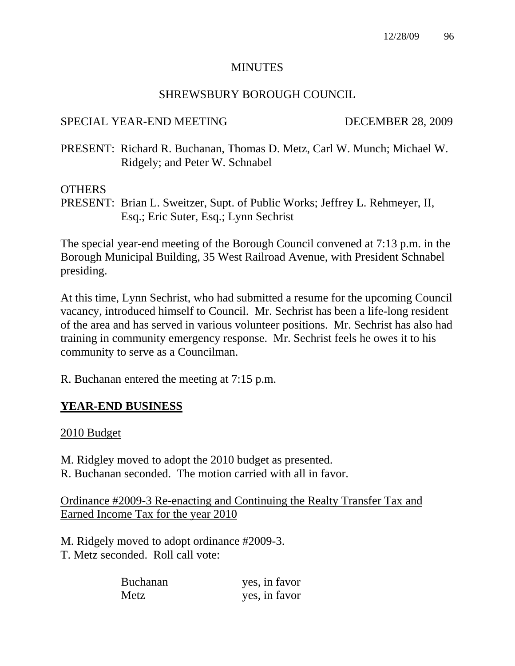### MINUTES

## SHREWSBURY BOROUGH COUNCIL

## SPECIAL YEAR-END MEETING DECEMBER 28, 2009

PRESENT: Richard R. Buchanan, Thomas D. Metz, Carl W. Munch; Michael W. Ridgely; and Peter W. Schnabel

### **OTHERS**

PRESENT: Brian L. Sweitzer, Supt. of Public Works; Jeffrey L. Rehmeyer, II, Esq.; Eric Suter, Esq.; Lynn Sechrist

The special year-end meeting of the Borough Council convened at 7:13 p.m. in the Borough Municipal Building, 35 West Railroad Avenue, with President Schnabel presiding.

At this time, Lynn Sechrist, who had submitted a resume for the upcoming Council vacancy, introduced himself to Council. Mr. Sechrist has been a life-long resident of the area and has served in various volunteer positions. Mr. Sechrist has also had training in community emergency response. Mr. Sechrist feels he owes it to his community to serve as a Councilman.

R. Buchanan entered the meeting at 7:15 p.m.

## **YEAR-END BUSINESS**

2010 Budget

M. Ridgley moved to adopt the 2010 budget as presented. R. Buchanan seconded. The motion carried with all in favor.

Ordinance #2009-3 Re-enacting and Continuing the Realty Transfer Tax and Earned Income Tax for the year 2010

M. Ridgely moved to adopt ordinance #2009-3. T. Metz seconded. Roll call vote:

| <b>Buchanan</b> | yes, in favor |
|-----------------|---------------|
| Metz            | yes, in favor |